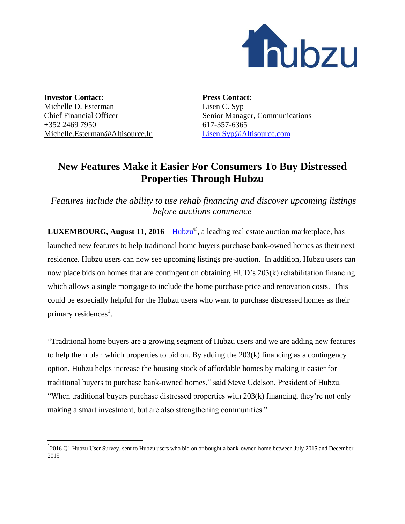

**Investor Contact:** Michelle D. Esterman Chief Financial Officer +352 2469 7950 [Michelle.Esterman@Altisource.lu](mailto:Michelle.Esterman@Altisource.lu)

 $\overline{\phantom{a}}$ 

**Press Contact:** Lisen C. Syp Senior Manager, Communications 617-357-6365 [Lisen.Syp@Altisource.com](mailto:Lisen.Syp@Altisource.com)

## **New Features Make it Easier For Consumers To Buy Distressed Properties Through Hubzu**

*Features include the ability to use rehab financing and discover upcoming listings before auctions commence*

**LUXEMBOURG, August 11, 2016 – [Hubzu](http://www.hubzu.com/?utm_campaign=newfeaturesone&utm_source=PR&utm_medium=PR&utm_content=first)®**, a leading real estate auction marketplace, has launched new features to help traditional home buyers purchase bank-owned homes as their next residence. Hubzu users can now see upcoming listings pre-auction. In addition, Hubzu users can now place bids on homes that are contingent on obtaining HUD's 203(k) rehabilitation financing which allows a single mortgage to include the home purchase price and renovation costs. This could be especially helpful for the Hubzu users who want to purchase distressed homes as their primary residences<sup>1</sup>.

"Traditional home buyers are a growing segment of Hubzu users and we are adding new features to help them plan which properties to bid on. By adding the 203(k) financing as a contingency option, Hubzu helps increase the housing stock of affordable homes by making it easier for traditional buyers to purchase bank-owned homes," said Steve Udelson, President of Hubzu. "When traditional buyers purchase distressed properties with 203(k) financing, they're not only making a smart investment, but are also strengthening communities."

<sup>&</sup>lt;sup>1</sup>2016 Q1 Hubzu User Survey, sent to Hubzu users who bid on or bought a bank-owned home between July 2015 and December 2015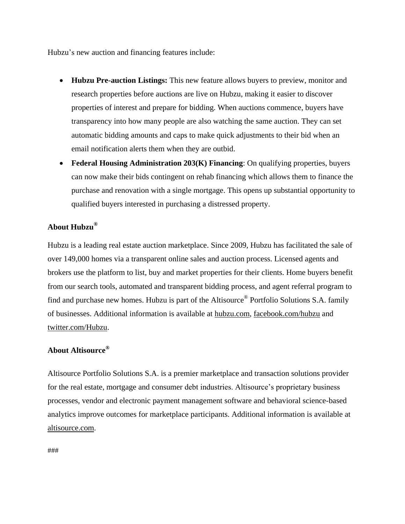Hubzu's new auction and financing features include:

- **Hubzu Pre-auction Listings:** This new feature allows buyers to preview, monitor and research properties before auctions are live on Hubzu, making it easier to discover properties of interest and prepare for bidding. When auctions commence, buyers have transparency into how many people are also watching the same auction. They can set automatic bidding amounts and caps to make quick adjustments to their bid when an email notification alerts them when they are outbid.
- **Federal Housing Administration 203(K) Financing**: On qualifying properties, buyers can now make their bids contingent on rehab financing which allows them to finance the purchase and renovation with a single mortgage. This opens up substantial opportunity to qualified buyers interested in purchasing a distressed property.

## **About Hubzu®**

Hubzu is a leading real estate auction marketplace. Since 2009, Hubzu has facilitated the sale of over 149,000 homes via a transparent online sales and auction process. Licensed agents and brokers use the platform to list, buy and market properties for their clients. Home buyers benefit from our search tools, automated and transparent bidding process, and agent referral program to find and purchase new homes. Hubzu is part of the Altisource<sup>®</sup> Portfolio Solutions S.A. family of businesses. Additional information is available at [hubzu.com,](http://www.hubzu.com/?utm_campaign=newfeaturesone&utm_source=PR&utm_medium=PR&utm_content=boilerplate) [facebook.com/hubzu](http://www.facebook.com/hubzu) and [twitter.com/Hubzu.](https://twitter.com/Hubzu)

## **About Altisource®**

Altisource Portfolio Solutions S.A. is a premier marketplace and transaction solutions provider for the real estate, mortgage and consumer debt industries. Altisource's proprietary business processes, vendor and electronic payment management software and behavioral science-based analytics improve outcomes for marketplace participants. Additional information is available at [altisource.com.](http://www.altisource.com/?utm_campaign=newfeaturesone&utm_source=PR&utm_medium=PR&utm_content=boilerplate)

###